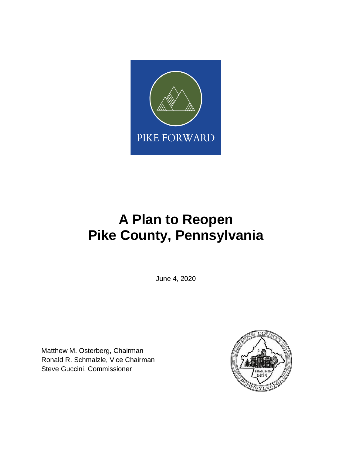

# **A Plan to Reopen Pike County, Pennsylvania**

June 4, 2020

Matthew M. Osterberg, Chairman Ronald R. Schmalzle, Vice Chairman Steve Guccini, Commissioner

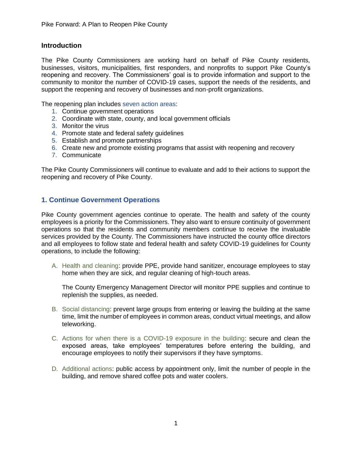#### **Introduction**

The Pike County Commissioners are working hard on behalf of Pike County residents, businesses, visitors, municipalities, first responders, and nonprofits to support Pike County's reopening and recovery. The Commissioners' goal is to provide information and support to the community to monitor the number of COVID-19 cases, support the needs of the residents, and support the reopening and recovery of businesses and non-profit organizations.

The reopening plan includes seven action areas:

- 1. Continue government operations
- 2. Coordinate with state, county, and local government officials
- 3. Monitor the virus
- 4. Promote state and federal safety guidelines
- 5. Establish and promote partnerships
- 6. Create new and promote existing programs that assist with reopening and recovery
- 7. Communicate

The Pike County Commissioners will continue to evaluate and add to their actions to support the reopening and recovery of Pike County.

#### **1. Continue Government Operations**

Pike County government agencies continue to operate. The health and safety of the county employees is a priority for the Commissioners. They also want to ensure continuity of government operations so that the residents and community members continue to receive the invaluable services provided by the County. The Commissioners have instructed the county office directors and all employees to follow state and federal health and safety COVID-19 guidelines for County operations, to include the following:

A. Health and cleaning: provide PPE, provide hand sanitizer, encourage employees to stay home when they are sick, and regular cleaning of high-touch areas.

The County Emergency Management Director will monitor PPE supplies and continue to replenish the supplies, as needed.

- B. Social distancing: prevent large groups from entering or leaving the building at the same time, limit the number of employees in common areas, conduct virtual meetings, and allow teleworking.
- C. Actions for when there is a COVID-19 exposure in the building: secure and clean the exposed areas, take employees' temperatures before entering the building, and encourage employees to notify their supervisors if they have symptoms.
- D. Additional actions: public access by appointment only, limit the number of people in the building, and remove shared coffee pots and water coolers.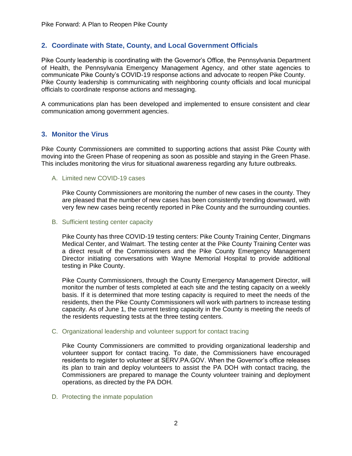#### **2. Coordinate with State, County, and Local Government Officials**

Pike County leadership is coordinating with the Governor's Office, the Pennsylvania Department of Health, the Pennsylvania Emergency Management Agency, and other state agencies to communicate Pike County's COVID-19 response actions and advocate to reopen Pike County. Pike County leadership is communicating with neighboring county officials and local municipal officials to coordinate response actions and messaging.

A communications plan has been developed and implemented to ensure consistent and clear communication among government agencies.

#### **3. Monitor the Virus**

Pike County Commissioners are committed to supporting actions that assist Pike County with moving into the Green Phase of reopening as soon as possible and staying in the Green Phase. This includes monitoring the virus for situational awareness regarding any future outbreaks.

A. Limited new COVID-19 cases

Pike County Commissioners are monitoring the number of new cases in the county. They are pleased that the number of new cases has been consistently trending downward, with very few new cases being recently reported in Pike County and the surrounding counties.

B. Sufficient testing center capacity

Pike County has three COVID-19 testing centers: Pike County Training Center, Dingmans Medical Center, and Walmart. The testing center at the Pike County Training Center was a direct result of the Commissioners and the Pike County Emergency Management Director initiating conversations with Wayne Memorial Hospital to provide additional testing in Pike County.

Pike County Commissioners, through the County Emergency Management Director, will monitor the number of tests completed at each site and the testing capacity on a weekly basis. If it is determined that more testing capacity is required to meet the needs of the residents, then the Pike County Commissioners will work with partners to increase testing capacity. As of June 1, the current testing capacity in the County is meeting the needs of the residents requesting tests at the three testing centers.

C. Organizational leadership and volunteer support for contact tracing

Pike County Commissioners are committed to providing organizational leadership and volunteer support for contact tracing. To date, the Commissioners have encouraged residents to register to volunteer at SERV.PA.GOV. When the Governor's office releases its plan to train and deploy volunteers to assist the PA DOH with contact tracing, the Commissioners are prepared to manage the County volunteer training and deployment operations, as directed by the PA DOH.

D. Protecting the inmate population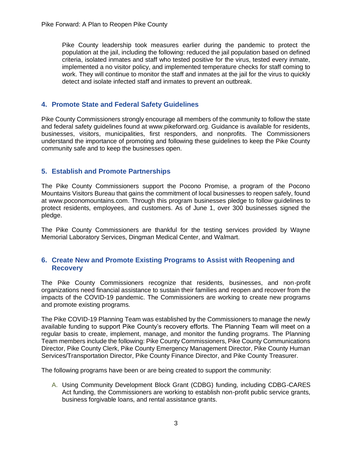Pike County leadership took measures earlier during the pandemic to protect the population at the jail, including the following: reduced the jail population based on defined criteria, isolated inmates and staff who tested positive for the virus, tested every inmate, implemented a no visitor policy, and implemented temperature checks for staff coming to work. They will continue to monitor the staff and inmates at the jail for the virus to quickly detect and isolate infected staff and inmates to prevent an outbreak.

#### **4. Promote State and Federal Safety Guidelines**

Pike County Commissioners strongly encourage all members of the community to follow the state and federal safety guidelines found at www.pikeforward.org. Guidance is available for residents, businesses, visitors, municipalities, first responders, and nonprofits. The Commissioners understand the importance of promoting and following these guidelines to keep the Pike County community safe and to keep the businesses open.

#### **5. Establish and Promote Partnerships**

The Pike County Commissioners support the Pocono Promise, a program of the Pocono Mountains Visitors Bureau that gains the commitment of local businesses to reopen safely, found at www.poconomountains.com. Through this program businesses pledge to follow guidelines to protect residents, employees, and customers. As of June 1, over 300 businesses signed the pledge.

The Pike County Commissioners are thankful for the testing services provided by Wayne Memorial Laboratory Services, Dingman Medical Center, and Walmart.

#### **6. Create New and Promote Existing Programs to Assist with Reopening and Recovery**

The Pike County Commissioners recognize that residents, businesses, and non-profit organizations need financial assistance to sustain their families and reopen and recover from the impacts of the COVID-19 pandemic. The Commissioners are working to create new programs and promote existing programs.

The Pike COVID-19 Planning Team was established by the Commissioners to manage the newly available funding to support Pike County's recovery efforts. The Planning Team will meet on a regular basis to create, implement, manage, and monitor the funding programs. The Planning Team members include the following: Pike County Commissioners, Pike County Communications Director, Pike County Clerk, Pike County Emergency Management Director, Pike County Human Services/Transportation Director, Pike County Finance Director, and Pike County Treasurer.

The following programs have been or are being created to support the community:

A. Using Community Development Block Grant (CDBG) funding, including CDBG-CARES Act funding, the Commissioners are working to establish non-profit public service grants, business forgivable loans, and rental assistance grants.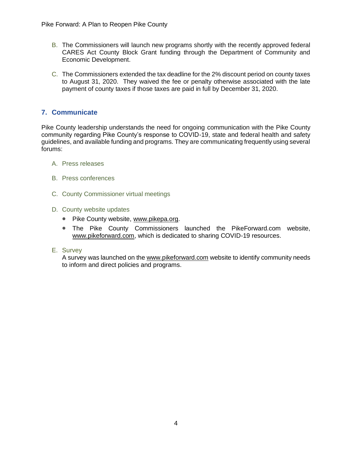- B. The Commissioners will launch new programs shortly with the recently approved federal CARES Act County Block Grant funding through the Department of Community and Economic Development.
- C. The Commissioners extended the tax deadline for the 2% discount period on county taxes to August 31, 2020. They waived the fee or penalty otherwise associated with the late payment of county taxes if those taxes are paid in full by December 31, 2020.

#### **7. Communicate**

Pike County leadership understands the need for ongoing communication with the Pike County community regarding Pike County's response to COVID-19, state and federal health and safety guidelines, and available funding and programs. They are communicating frequently using several forums:

- A. Press releases
- B. Press conferences
- C. County Commissioner virtual meetings
- D. County website updates
	- Pike County website, [www.pikepa.org.](http://www.pikepa.org/)
	- The Pike County Commissioners launched the PikeForward.com website, [www.pikeforward.com,](http://www.pikeforward.com/) which is dedicated to sharing COVID-19 resources.
- E. Survey

A survey was launched on the [www.pikeforward.com](http://www.pikeforward.com/) website to identify community needs to inform and direct policies and programs.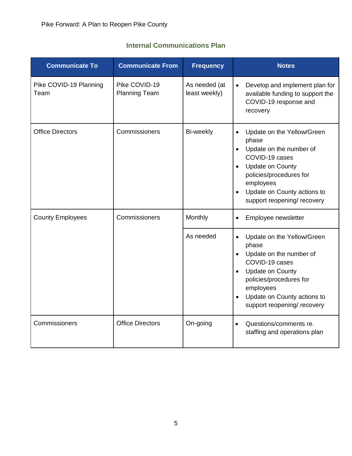| <b>Communicate To</b>          | <b>Communicate From</b>               | <b>Frequency</b>               | <b>Notes</b>                                                                                                                                                                                                                                                          |
|--------------------------------|---------------------------------------|--------------------------------|-----------------------------------------------------------------------------------------------------------------------------------------------------------------------------------------------------------------------------------------------------------------------|
| Pike COVID-19 Planning<br>Team | Pike COVID-19<br><b>Planning Team</b> | As needed (at<br>least weekly) | Develop and implement plan for<br>$\bullet$<br>available funding to support the<br>COVID-19 response and<br>recovery                                                                                                                                                  |
| <b>Office Directors</b>        | Commissioners                         | Bi-weekly                      | Update on the Yellow/Green<br>$\bullet$<br>phase<br>Update on the number of<br>$\bullet$<br>COVID-19 cases<br><b>Update on County</b><br>$\bullet$<br>policies/procedures for<br>employees<br>Update on County actions to<br>$\bullet$<br>support reopening/ recovery |
| <b>County Employees</b>        | Commissioners                         | Monthly                        | Employee newsletter<br>$\bullet$                                                                                                                                                                                                                                      |
|                                |                                       | As needed                      | Update on the Yellow/Green<br>$\bullet$<br>phase<br>Update on the number of<br>COVID-19 cases<br><b>Update on County</b><br>$\bullet$<br>policies/procedures for<br>employees<br>Update on County actions to<br>$\bullet$<br>support reopening/ recovery              |
| Commissioners                  | <b>Office Directors</b>               | On-going                       | Questions/comments re.<br>$\bullet$<br>staffing and operations plan                                                                                                                                                                                                   |

## **Internal Communications Plan**